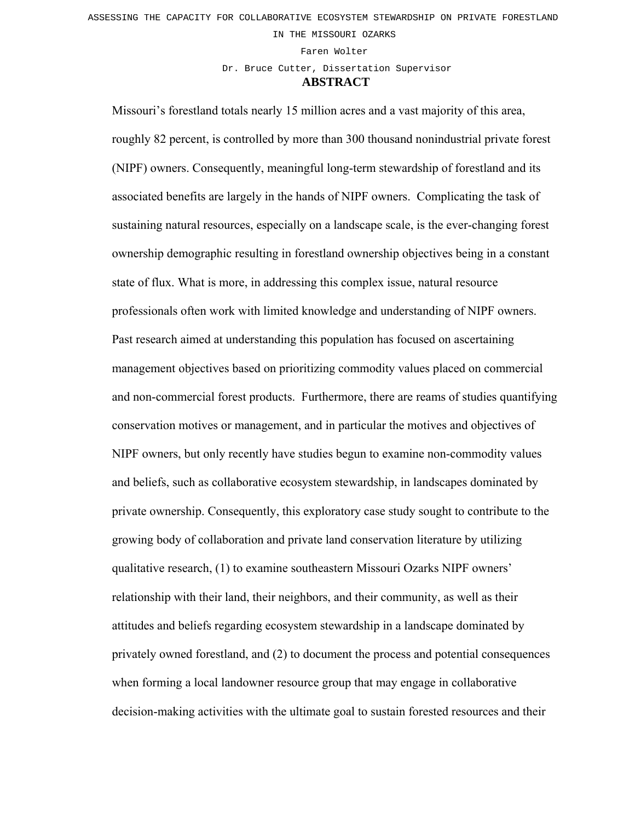IN THE MISSOURI OZARKS

Faren Wolter

Dr. Bruce Cutter, Dissertation Supervisor

## **ABSTRACT**

Missouri's forestland totals nearly 15 million acres and a vast majority of this area, roughly 82 percent, is controlled by more than 300 thousand nonindustrial private forest (NIPF) owners. Consequently, meaningful long-term stewardship of forestland and its associated benefits are largely in the hands of NIPF owners. Complicating the task of sustaining natural resources, especially on a landscape scale, is the ever-changing forest ownership demographic resulting in forestland ownership objectives being in a constant state of flux. What is more, in addressing this complex issue, natural resource professionals often work with limited knowledge and understanding of NIPF owners. Past research aimed at understanding this population has focused on ascertaining management objectives based on prioritizing commodity values placed on commercial and non-commercial forest products. Furthermore, there are reams of studies quantifying conservation motives or management, and in particular the motives and objectives of NIPF owners, but only recently have studies begun to examine non-commodity values and beliefs, such as collaborative ecosystem stewardship, in landscapes dominated by private ownership. Consequently, this exploratory case study sought to contribute to the growing body of collaboration and private land conservation literature by utilizing qualitative research, (1) to examine southeastern Missouri Ozarks NIPF owners' relationship with their land, their neighbors, and their community, as well as their attitudes and beliefs regarding ecosystem stewardship in a landscape dominated by privately owned forestland, and (2) to document the process and potential consequences when forming a local landowner resource group that may engage in collaborative decision-making activities with the ultimate goal to sustain forested resources and their